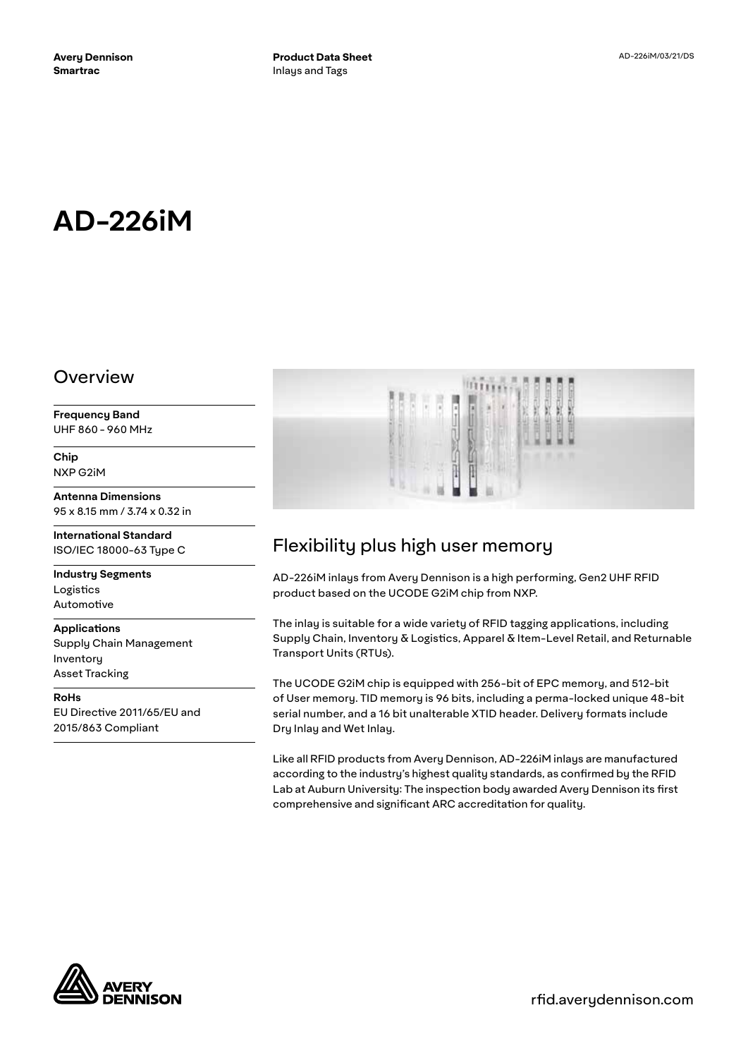# **AD-226iM**

### Overview

**Frequency Band** UHF 860 - 960 MHz

**Chip** NXP G2iM

**Antenna Dimensions** 95 x 8.15 mm / 3.74 x 0.32 in

**International Standard** ISO/IEC 18000-63 Type C

**Industry Segments** Logistics Automotive

**Applications** Supply Chain Management

Inventory Asset Tracking

**RoHs** EU Directive 2011/65/EU and 2015/863 Compliant



## Flexibility plus high user memory

AD-226iM inlays from Avery Dennison is a high performing, Gen2 UHF RFID product based on the UCODE G2iM chip from NXP.

The inlay is suitable for a wide variety of RFID tagging applications, including Supply Chain, Inventory & Logistics, Apparel & Item-Level Retail, and Returnable Transport Units (RTUs).

The UCODE G2iM chip is equipped with 256-bit of EPC memory, and 512-bit of User memory. TID memory is 96 bits, including a perma-locked unique 48-bit serial number, and a 16 bit unalterable XTID header. Delivery formats include Dry Inlay and Wet Inlay.

Like all RFID products from Avery Dennison, AD-226iM inlays are manufactured according to the industry's highest quality standards, as confirmed by the RFID Lab at Auburn University: The inspection body awarded Avery Dennison its first comprehensive and significant ARC accreditation for quality.